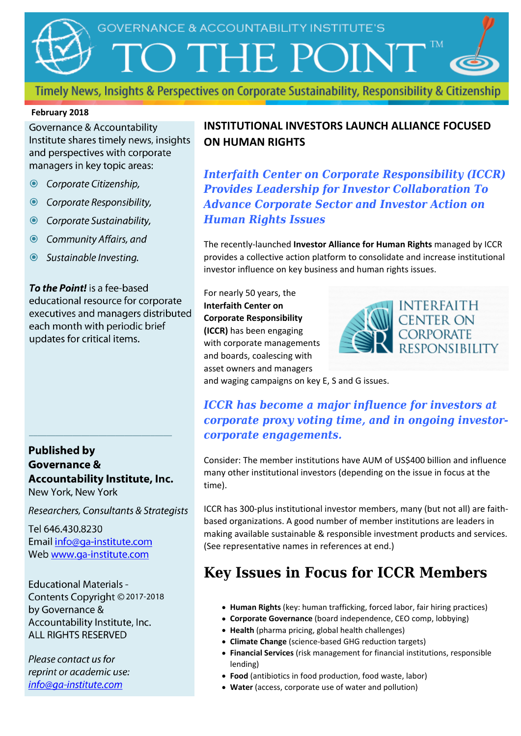

Timely News, Insights & Perspectives on Corporate Sustainability, Responsibility & Citizenship

#### **February 2018**

**Governance & Accountability** Institute shares timely news, insights and perspectives with corporate managers in key topic areas:

- Corporate Citizenship,
- © Corporate Responsibility,
- © Corporate Sustainability,
- **◎** Community Affairs, and
- Sustainable Investing.

To the Point! is a fee-based educational resource for corporate executives and managers distributed each month with periodic brief updates for critical items.

**Published by Governance &** Accountability Institute, Inc. New York, New York

Researchers, Consultants & Strategists

Tel 646,430,8230 Email info@ga-institute.com Web www.ga-institute.com

**Educational Materials -**Contents Copyright © 2017-2018 by Governance & Accountability Institute, Inc. **ALL RIGHTS RESERVED** 

Please contact us for reprint or academic use: info@ga-institute.com

#### **INSTITUTIONAL INVESTORS LAUNCH ALLIANCE FOCUSED ON HUMAN RIGHTS**

*Interfaith Center on Corporate Responsibility (ICCR) Provides Leadership for Investor Collaboration To Advance Corporate Sector and Investor Action on Human Rights Issues*

The recently-launched **Investor Alliance for Human Rights** managed by ICCR provides a collective action platform to consolidate and increase institutional investor influence on key business and human rights issues.

For nearly 50 years, the **Interfaith Center on Corporate Responsibility (ICCR)** has been engaging with corporate managements and boards, coalescing with asset owners and managers



and waging campaigns on key E, S and G issues.

#### *ICCR has become a major influence for investors at corporate proxy voting time, and in ongoing investorcorporate engagements.*

Consider: The member institutions have AUM of US\$400 billion and influence many other institutional investors (depending on the issue in focus at the time).

ICCR has 300-plus institutional investor members, many (but not all) are faithbased organizations. A good number of member institutions are leaders in making available sustainable & responsible investment products and services. (See representative names in references at end.)

### **Key Issues in Focus for ICCR Members**

- **Human Rights** (key: human trafficking, forced labor, fair hiring practices)
- **Corporate Governance** (board independence, CEO comp, lobbying)
- **Health** (pharma pricing, global health challenges)
- **Climate Change** (science-based GHG reduction targets)
- **Financial Services** (risk management for financial institutions, responsible lending)
- **Food** (antibiotics in food production, food waste, labor)
- **Water** (access, corporate use of water and pollution)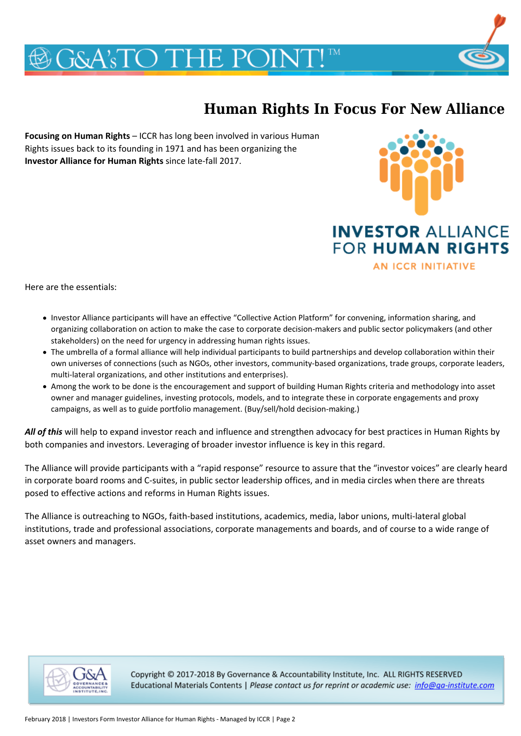## **G&A'sTO THE POINT!**

### **Human Rights In Focus For New Alliance**

**Focusing on Human Rights** – ICCR has long been involved in various Human Rights issues back to its founding in 1971 and has been organizing the **Investor Alliance for Human Rights** since late-fall 2017.



**FOR HUMAN RIGHTS** 

**AN ICCR INITIATIVE** 

Here are the essentials:

- Investor Alliance participants will have an effective "Collective Action Platform" for convening, information sharing, and organizing collaboration on action to make the case to corporate decision-makers and public sector policymakers (and other stakeholders) on the need for urgency in addressing human rights issues.
- The umbrella of a formal alliance will help individual participants to build partnerships and develop collaboration within their own universes of connections (such as NGOs, other investors, community-based organizations, trade groups, corporate leaders, multi-lateral organizations, and other institutions and enterprises).
- Among the work to be done is the encouragement and support of building Human Rights criteria and methodology into asset owner and manager guidelines, investing protocols, models, and to integrate these in corporate engagements and proxy campaigns, as well as to guide portfolio management. (Buy/sell/hold decision-making.)

*All of this* will help to expand investor reach and influence and strengthen advocacy for best practices in Human Rights by both companies and investors. Leveraging of broader investor influence is key in this regard.

The Alliance will provide participants with a "rapid response" resource to assure that the "investor voices" are clearly heard in corporate board rooms and C-suites, in public sector leadership offices, and in media circles when there are threats posed to effective actions and reforms in Human Rights issues.

The Alliance is outreaching to NGOs, faith-based institutions, academics, media, labor unions, multi-lateral global institutions, trade and professional associations, corporate managements and boards, and of course to a wide range of asset owners and managers.



Copyright © 2017-2018 By Governance & Accountability Institute, Inc. ALL RIGHTS RESERVED Educational Materials Contents | Please contact us for reprint or academic use: info@qa-institute.com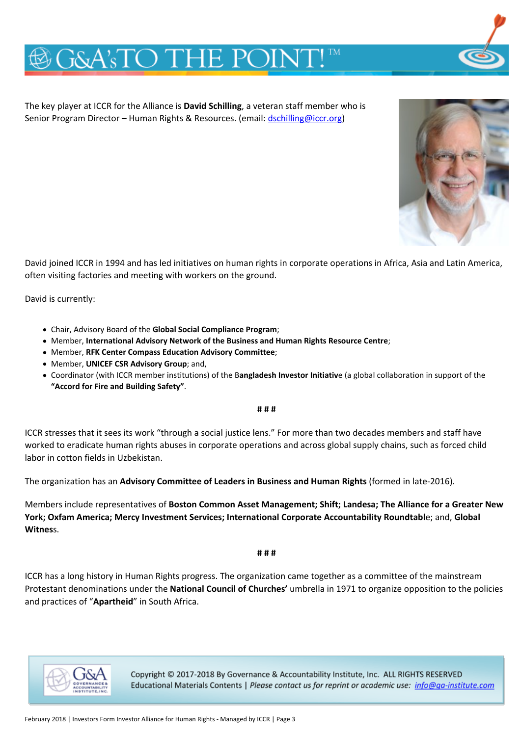## **G&A'sTO THE POINT**

The key player at ICCR for the Alliance is **David Schilling**, a veteran staff member who is Senior Program Director – Human Rights & Resources. (email: [dschilling@iccr.org\)](mailto:dschilling@iccr.org)



David joined ICCR in 1994 and has led initiatives on human rights in corporate operations in Africa, Asia and Latin America, often visiting factories and meeting with workers on the ground.

David is currently:

- Chair, Advisory Board of the **Global Social Compliance Program**;
- Member, **International Advisory Network of the Business and Human Rights Resource Centre**;
- Member, **RFK Center Compass Education Advisory Committee**;
- Member, **UNICEF CSR Advisory Group**; and,
- Coordinator (with ICCR member institutions) of the B**angladesh Investor Initiativ**e (a global collaboration in support of the **"Accord for Fire and Building Safety"**.

**# # #**

ICCR stresses that it sees its work "through a social justice lens." For more than two decades members and staff have worked to eradicate human rights abuses in corporate operations and across global supply chains, such as forced child labor in cotton fields in Uzbekistan.

The organization has an **Advisory Committee of Leaders in Business and Human Rights** (formed in late-2016).

Members include representatives of **Boston Common Asset Management; Shift; Landesa; The Alliance for a Greater New York; Oxfam America; Mercy Investment Services; International Corporate Accountability Roundtabl**e; and, **Global Witnes**s.

**# # #**

ICCR has a long history in Human Rights progress. The organization came together as a committee of the mainstream Protestant denominations under the **National Council of Churches'** umbrella in 1971 to organize opposition to the policies and practices of "**Apartheid**" in South Africa.



Copyright © 2017-2018 By Governance & Accountability Institute, Inc. ALL RIGHTS RESERVED Educational Materials Contents | Please contact us for reprint or academic use: info@ga-institute.com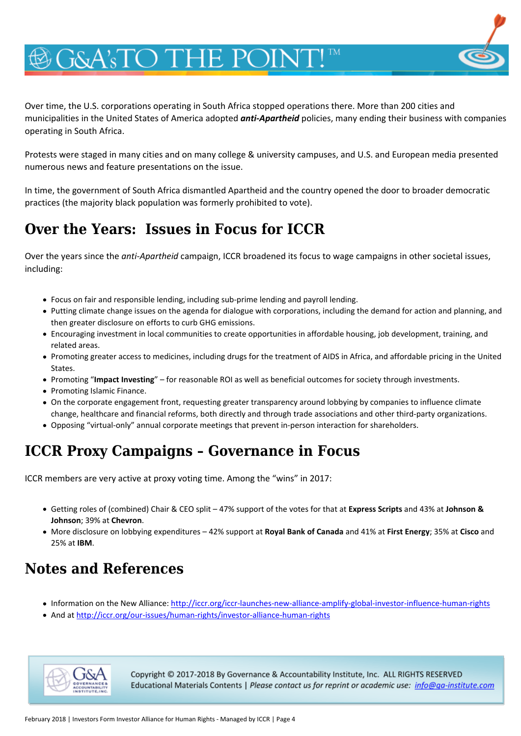# **G&A'sTO THE POINT**

Over time, the U.S. corporations operating in South Africa stopped operations there. More than 200 cities and municipalities in the United States of America adopted *anti-Apartheid* policies, many ending their business with companies operating in South Africa.

Protests were staged in many cities and on many college & university campuses, and U.S. and European media presented numerous news and feature presentations on the issue.

In time, the government of South Africa dismantled Apartheid and the country opened the door to broader democratic practices (the majority black population was formerly prohibited to vote).

### **Over the Years: Issues in Focus for ICCR**

Over the years since the *anti-Apartheid* campaign, ICCR broadened its focus to wage campaigns in other societal issues, including:

- Focus on fair and responsible lending, including sub-prime lending and payroll lending.
- Putting climate change issues on the agenda for dialogue with corporations, including the demand for action and planning, and then greater disclosure on efforts to curb GHG emissions.
- Encouraging investment in local communities to create opportunities in affordable housing, job development, training, and related areas.
- Promoting greater access to medicines, including drugs for the treatment of AIDS in Africa, and affordable pricing in the United States.
- Promoting "**Impact Investing**" for reasonable ROI as well as beneficial outcomes for society through investments.
- Promoting Islamic Finance.
- On the corporate engagement front, requesting greater transparency around lobbying by companies to influence climate change, healthcare and financial reforms, both directly and through trade associations and other third-party organizations.
- Opposing "virtual-only" annual corporate meetings that prevent in-person interaction for shareholders.

### **ICCR Proxy Campaigns – Governance in Focus**

ICCR members are very active at proxy voting time. Among the "wins" in 2017:

- Getting roles of (combined) Chair & CEO split 47% support of the votes for that at **Express Scripts** and 43% at **Johnson & Johnson**; 39% at **Chevron**.
- More disclosure on lobbying expenditures 42% support at **Royal Bank of Canada** and 41% at **First Energy**; 35% at **Cisco** and 25% at **IBM**.

### **Notes and References**

- Information on the New Alliance:<http://iccr.org/iccr-launches-new-alliance-amplify-global-investor-influence-human-rights>
- And at<http://iccr.org/our-issues/human-rights/investor-alliance-human-rights>



Copyright © 2017-2018 By Governance & Accountability Institute, Inc. ALL RIGHTS RESERVED Educational Materials Contents | Please contact us for reprint or academic use: info@qa-institute.com